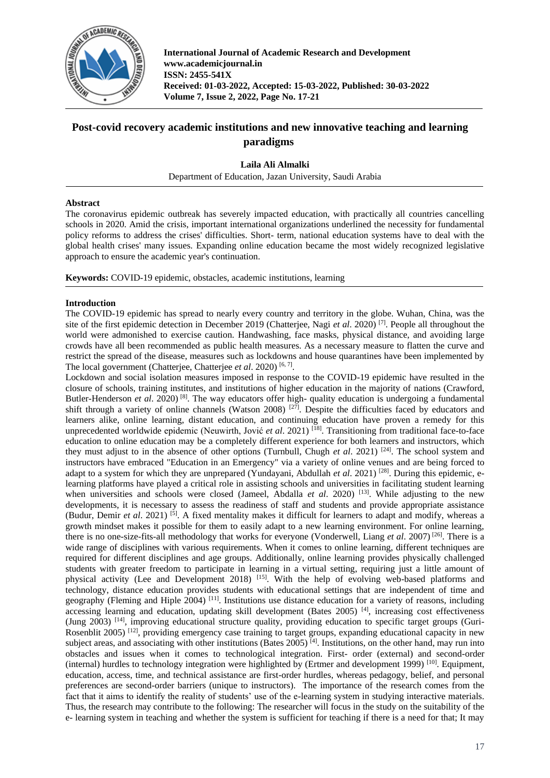

# **Post-covid recovery academic institutions and new innovative teaching and learning paradigms**

## **Laila Ali Almalki**

Department of Education, Jazan University, Saudi Arabia

#### **Abstract**

The coronavirus epidemic outbreak has severely impacted education, with practically all countries cancelling schools in 2020. Amid the crisis, important international organizations underlined the necessity for fundamental policy reforms to address the crises' difficulties. Short- term, national education systems have to deal with the global health crises' many issues. Expanding online education became the most widely recognized legislative approach to ensure the academic year's continuation.

**Keywords:** COVID-19 epidemic, obstacles, academic institutions, learning

## **Introduction**

The COVID-19 epidemic has spread to nearly every country and territory in the globe. Wuhan, China, was the site of the first epidemic detection in December 2019 (Chatterjee, Nagi *et al*. 2020) [7]. People all throughout the world were admonished to exercise caution. Handwashing, face masks, physical distance, and avoiding large crowds have all been recommended as public health measures. As a necessary measure to flatten the curve and restrict the spread of the disease, measures such as lockdowns and house quarantines have been implemented by The local government (Chatterjee, Chatterjee *et al.* 2020)<sup>[6,7]</sup>.

Lockdown and social isolation measures imposed in response to the COVID-19 epidemic have resulted in the closure of schools, training institutes, and institutions of higher education in the majority of nations (Crawford, Butler-Henderson et al. 2020)<sup>[8]</sup>. The way educators offer high- quality education is undergoing a fundamental shift through a variety of online channels (Watson 2008)<sup>[27]</sup>. Despite the difficulties faced by educators and learners alike, online learning, distant education, and continuing education have proven a remedy for this unprecedented worldwide epidemic (Neuwirth, Jović *et al.* 2021)<sup>[18]</sup>. Transitioning from traditional face-to-face education to online education may be a completely different experience for both learners and instructors, which they must adjust to in the absence of other options (Turnbull, Chugh *et al*. 2021) [24]. The school system and instructors have embraced "Education in an Emergency" via a variety of online venues and are being forced to adapt to a system for which they are unprepared (Yundayani, Abdullah *et al.* 2021)<sup>[28]</sup>. During this epidemic, elearning platforms have played a critical role in assisting schools and universities in facilitating student learning when universities and schools were closed (Jameel, Abdalla *et al.* 2020)<sup>[13]</sup>. While adjusting to the new developments, it is necessary to assess the readiness of staff and students and provide appropriate assistance (Budur, Demir *et al*. 2021) [5]. A fixed mentality makes it difficult for learners to adapt and modify, whereas a growth mindset makes it possible for them to easily adapt to a new learning environment. For online learning, there is no one-size-fits-all methodology that works for everyone (Vonderwell, Liang *et al*. 2007) [26]. There is a wide range of disciplines with various requirements. When it comes to online learning, different techniques are required for different disciplines and age groups. Additionally, online learning provides physically challenged students with greater freedom to participate in learning in a virtual setting, requiring just a little amount of physical activity (Lee and Development 2018) <sup>[15]</sup>. With the help of evolving web-based platforms and technology, distance education provides students with educational settings that are independent of time and geography (Fleming and Hiple 2004) [11]. Institutions use distance education for a variety of reasons, including accessing learning and education, updating skill development (Bates 2005)<sup>[4]</sup>, increasing cost effectiveness (Jung 2003) [14], improving educational structure quality, providing education to specific target groups (Guri-Rosenblit 2005) [12], providing emergency case training to target groups, expanding educational capacity in new subject areas, and associating with other institutions (Bates 2005)<sup>[4]</sup>. Institutions, on the other hand, may run into obstacles and issues when it comes to technological integration. First- order (external) and second-order (internal) hurdles to technology integration were highlighted by (Ertmer and development 1999)  $^{[10]}$ . Equipment, education, access, time, and technical assistance are first-order hurdles, whereas pedagogy, belief, and personal preferences are second-order barriers (unique to instructors). The importance of the research comes from the fact that it aims to identify the reality of students' use of the e-learning system in studying interactive materials. Thus, the research may contribute to the following: The researcher will focus in the study on the suitability of the e- learning system in teaching and whether the system is sufficient for teaching if there is a need for that; It may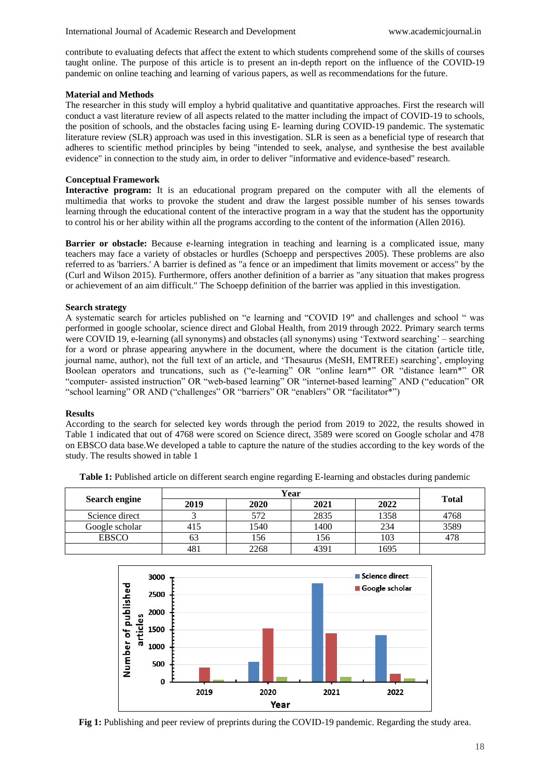contribute to evaluating defects that affect the extent to which students comprehend some of the skills of courses taught online. The purpose of this article is to present an in-depth report on the influence of the COVID-19 pandemic on online teaching and learning of various papers, as well as recommendations for the future.

#### **Material and Methods**

The researcher in this study will employ a hybrid qualitative and quantitative approaches. First the research will conduct a vast literature review of all aspects related to the matter including the impact of COVID-19 to schools, the position of schools, and the obstacles facing using E- learning during COVID-19 pandemic. The systematic literature review (SLR) approach was used in this investigation. SLR is seen as a beneficial type of research that adheres to scientific method principles by being "intended to seek, analyse, and synthesise the best available evidence" in connection to the study aim, in order to deliver "informative and evidence-based" research.

## **Conceptual Framework**

**Interactive program:** It is an educational program prepared on the computer with all the elements of multimedia that works to provoke the student and draw the largest possible number of his senses towards learning through the educational content of the interactive program in a way that the student has the opportunity to control his or her ability within all the programs according to the content of the information (Allen 2016).

**Barrier or obstacle:** Because e-learning integration in teaching and learning is a complicated issue, many teachers may face a variety of obstacles or hurdles (Schoepp and perspectives 2005). These problems are also referred to as 'barriers.' A barrier is defined as "a fence or an impediment that limits movement or access" by the (Curl and Wilson 2015). Furthermore, offers another definition of a barrier as "any situation that makes progress or achievement of an aim difficult." The Schoepp definition of the barrier was applied in this investigation.

## **Search strategy**

A systematic search for articles published on "e learning and "COVID 19" and challenges and school " was performed in google schoolar, science direct and Global Health, from 2019 through 2022. Primary search terms were COVID 19, e-learning (all synonyms) and obstacles (all synonyms) using 'Textword searching' – searching for a word or phrase appearing anywhere in the document, where the document is the citation (article title, journal name, author), not the full text of an article, and 'Thesaurus (MeSH, EMTREE) searching', employing Boolean operators and truncations, such as ("e-learning" OR "online learn\*" OR "distance learn\*" OR "computer- assisted instruction" OR "web-based learning" OR "internet-based learning" AND ("education" OR "school learning" OR AND ("challenges" OR "barriers" OR "enablers" OR "facilitator\*")

## **Results**

According to the search for selected key words through the period from 2019 to 2022, the results showed in Table 1 indicated that out of 4768 were scored on Science direct, 3589 were scored on Google scholar and 478 on EBSCO data base.We developed a table to capture the nature of the studies according to the key words of the study. The results showed in table 1

| <b>Search engine</b> | Year |      |      |      |              |
|----------------------|------|------|------|------|--------------|
|                      | 2019 | 2020 | 2021 | 2022 | <b>Total</b> |
| Science direct       |      | 572  | 2835 | 1358 | 4768         |
| Google scholar       | 415  | 1540 | 1400 | 234  | 3589         |
| <b>EBSCO</b>         | ხპ   | 156  | 156  | 103  |              |
|                      | 481  | 2268 | 4391 | 1695 |              |

**Table 1:** Published article on different search engine regarding E-learning and obstacles during pandemic



**Fig 1:** Publishing and peer review of preprints during the COVID-19 pandemic. Regarding the study area.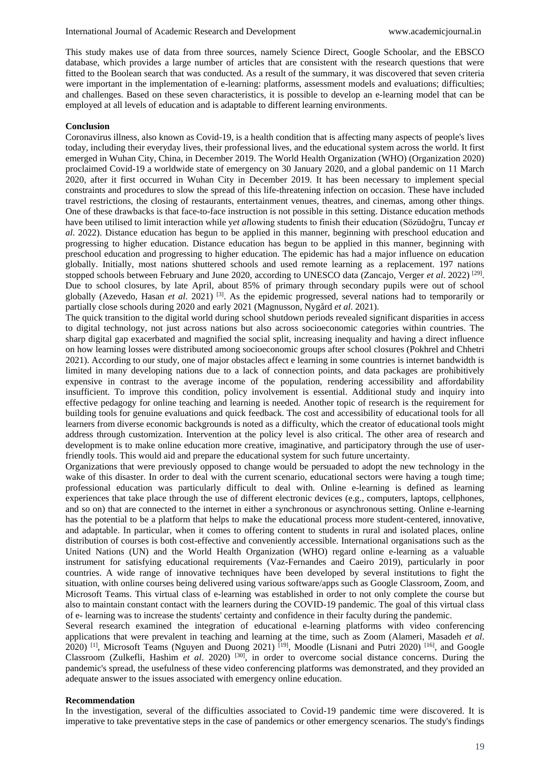This study makes use of data from three sources, namely Science Direct, Google Schoolar, and the EBSCO database, which provides a large number of articles that are consistent with the research questions that were fitted to the Boolean search that was conducted. As a result of the summary, it was discovered that seven criteria were important in the implementation of e-learning: platforms, assessment models and evaluations; difficulties; and challenges. Based on these seven characteristics, it is possible to develop an e-learning model that can be employed at all levels of education and is adaptable to different learning environments.

#### **Conclusion**

Coronavirus illness, also known as Covid-19, is a health condition that is affecting many aspects of people's lives today, including their everyday lives, their professional lives, and the educational system across the world. It first emerged in Wuhan City, China, in December 2019. The World Health Organization (WHO) (Organization 2020) proclaimed Covid-19 a worldwide state of emergency on 30 January 2020, and a global pandemic on 11 March 2020, after it first occurred in Wuhan City in December 2019. It has been necessary to implement special constraints and procedures to slow the spread of this life-threatening infection on occasion. These have included travel restrictions, the closing of restaurants, entertainment venues, theatres, and cinemas, among other things. One of these drawbacks is that face-to-face instruction is not possible in this setting. Distance education methods have been utilised to limit interaction while y*et al*lowing students to finish their education (Sözüdoğru, Tuncay *et al*. 2022). Distance education has begun to be applied in this manner, beginning with preschool education and progressing to higher education. Distance education has begun to be applied in this manner, beginning with preschool education and progressing to higher education. The epidemic has had a major influence on education globally. Initially, most nations shuttered schools and used remote learning as a replacement. 197 nations stopped schools between February and June 2020, according to UNESCO data (Zancajo, Verger *et al.* 2022)<sup>[29]</sup>. Due to school closures, by late April, about 85% of primary through secondary pupils were out of school globally (Azevedo, Hasan *et al*. 2021) [3]. As the epidemic progressed, several nations had to temporarily or partially close schools during 2020 and early 2021 (Magnusson, Nygård *et al*. 2021).

The quick transition to the digital world during school shutdown periods revealed significant disparities in access to digital technology, not just across nations but also across socioeconomic categories within countries. The sharp digital gap exacerbated and magnified the social split, increasing inequality and having a direct influence on how learning losses were distributed among socioeconomic groups after school closures (Pokhrel and Chhetri 2021). According to our study, one of major obstacles affect e learning in some countries is internet bandwidth is limited in many developing nations due to a lack of connection points, and data packages are prohibitively expensive in contrast to the average income of the population, rendering accessibility and affordability insufficient. To improve this condition, policy involvement is essential. Additional study and inquiry into effective pedagogy for online teaching and learning is needed. Another topic of research is the requirement for building tools for genuine evaluations and quick feedback. The cost and accessibility of educational tools for all learners from diverse economic backgrounds is noted as a difficulty, which the creator of educational tools might address through customization. Intervention at the policy level is also critical. The other area of research and development is to make online education more creative, imaginative, and participatory through the use of userfriendly tools. This would aid and prepare the educational system for such future uncertainty.

Organizations that were previously opposed to change would be persuaded to adopt the new technology in the wake of this disaster. In order to deal with the current scenario, educational sectors were having a tough time; professional education was particularly difficult to deal with. Online e-learning is defined as learning experiences that take place through the use of different electronic devices (e.g., computers, laptops, cellphones, and so on) that are connected to the internet in either a synchronous or asynchronous setting. Online e-learning has the potential to be a platform that helps to make the educational process more student-centered, innovative, and adaptable. In particular, when it comes to offering content to students in rural and isolated places, online distribution of courses is both cost-effective and conveniently accessible. International organisations such as the United Nations (UN) and the World Health Organization (WHO) regard online e-learning as a valuable instrument for satisfying educational requirements (Vaz-Fernandes and Caeiro 2019), particularly in poor countries. A wide range of innovative techniques have been developed by several institutions to fight the situation, with online courses being delivered using various software/apps such as Google Classroom, Zoom, and Microsoft Teams. This virtual class of e-learning was established in order to not only complete the course but also to maintain constant contact with the learners during the COVID-19 pandemic. The goal of this virtual class of e- learning was to increase the students' certainty and confidence in their faculty during the pandemic.

Several research examined the integration of educational e-learning platforms with video conferencing applications that were prevalent in teaching and learning at the time, such as Zoom (Alameri, Masadeh *et al*. 2020) <sup>[1]</sup>, Microsoft Teams (Nguyen and Duong 2021) <sup>[19]</sup>, Moodle (Lisnani and Putri 2020) <sup>[16]</sup>, and Google Classroom (Zulkefli, Hashim *et al*. 2020) [30], in order to overcome social distance concerns. During the pandemic's spread, the usefulness of these video conferencing platforms was demonstrated, and they provided an adequate answer to the issues associated with emergency online education.

#### **Recommendation**

In the investigation, several of the difficulties associated to Covid-19 pandemic time were discovered. It is imperative to take preventative steps in the case of pandemics or other emergency scenarios. The study's findings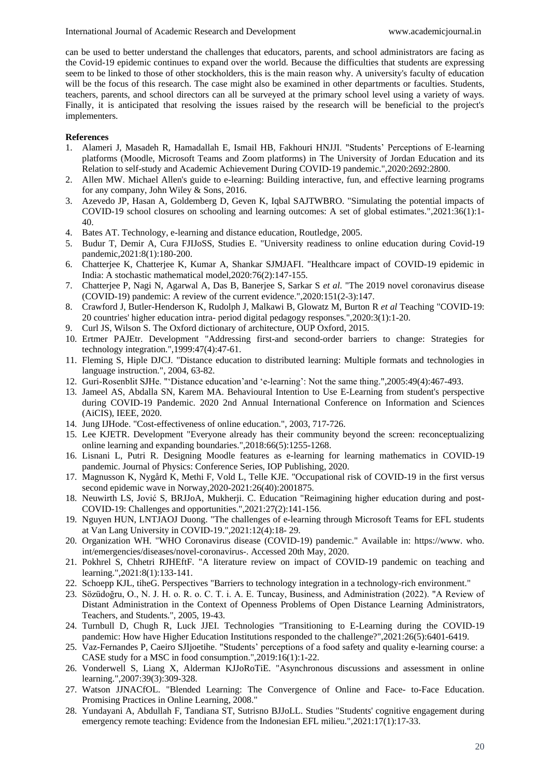can be used to better understand the challenges that educators, parents, and school administrators are facing as the Covid-19 epidemic continues to expand over the world. Because the difficulties that students are expressing seem to be linked to those of other stockholders, this is the main reason why. A university's faculty of education will be the focus of this research. The case might also be examined in other departments or faculties. Students, teachers, parents, and school directors can all be surveyed at the primary school level using a variety of ways. Finally, it is anticipated that resolving the issues raised by the research will be beneficial to the project's implementers.

#### **References**

- 1. Alameri J, Masadeh R, Hamadallah E, Ismail HB, Fakhouri HNJJI. "Students' Perceptions of E-learning platforms (Moodle, Microsoft Teams and Zoom platforms) in The University of Jordan Education and its Relation to self-study and Academic Achievement During COVID-19 pandemic.",2020:2692:2800.
- 2. Allen MW. Michael Allen's guide to e-learning: Building interactive, fun, and effective learning programs for any company, John Wiley & Sons, 2016.
- 3. Azevedo JP, Hasan A, Goldemberg D, Geven K, Iqbal SAJTWBRO. "Simulating the potential impacts of COVID-19 school closures on schooling and learning outcomes: A set of global estimates.",2021:36(1):1- 40.
- 4. Bates AT. Technology, e-learning and distance education, Routledge, 2005.
- 5. Budur T, Demir A, Cura FJIJoSS, Studies E. "University readiness to online education during Covid-19 pandemic,2021:8(1):180-200.
- 6. Chatterjee K, Chatterjee K, Kumar A, Shankar SJMJAFI. "Healthcare impact of COVID-19 epidemic in India: A stochastic mathematical model,2020:76(2):147-155.
- 7. Chatterjee P, Nagi N, Agarwal A, Das B, Banerjee S, Sarkar S *et al*. "The 2019 novel coronavirus disease (COVID-19) pandemic: A review of the current evidence.",2020:151(2-3):147.
- 8. Crawford J, Butler-Henderson K, Rudolph J, Malkawi B, Glowatz M, Burton R *et al* Teaching "COVID-19: 20 countries' higher education intra- period digital pedagogy responses.",2020:3(1):1-20.
- 9. Curl JS, Wilson S. The Oxford dictionary of architecture, OUP Oxford, 2015.
- 10. Ertmer PAJEtr. Development "Addressing first-and second-order barriers to change: Strategies for technology integration.",1999:47(4):47-61.
- 11. Fleming S, Hiple DJCJ. "Distance education to distributed learning: Multiple formats and technologies in language instruction.", 2004, 63-82.
- 12. Guri-Rosenblit SJHe. "'Distance education'and 'e-learning': Not the same thing.",2005:49(4):467-493.
- 13. Jameel AS, Abdalla SN, Karem MA. Behavioural Intention to Use E-Learning from student's perspective during COVID-19 Pandemic. 2020 2nd Annual International Conference on Information and Sciences (AiCIS), IEEE, 2020.
- 14. Jung IJHode. "Cost-effectiveness of online education.", 2003, 717-726.
- 15. Lee KJETR. Development "Everyone already has their community beyond the screen: reconceptualizing online learning and expanding boundaries.",2018:66(5):1255-1268.
- 16. Lisnani L, Putri R. Designing Moodle features as e-learning for learning mathematics in COVID-19 pandemic. Journal of Physics: Conference Series, IOP Publishing, 2020.
- 17. Magnusson K, Nygård K, Methi F, Vold L, Telle KJE. "Occupational risk of COVID-19 in the first versus second epidemic wave in Norway,2020-2021:26(40):2001875.
- 18. Neuwirth LS, Jović S, BRJJoA, Mukherji. C. Education "Reimagining higher education during and post-COVID-19: Challenges and opportunities.",2021:27(2):141-156.
- 19. Nguyen HUN, LNTJAOJ Duong. "The challenges of e-learning through Microsoft Teams for EFL students at Van Lang University in COVID-19.",2021:12(4):18- 29.
- 20. Organization WH. "WHO Coronavirus disease (COVID-19) pandemic." Available in: https://www. who. int/emergencies/diseases/novel-coronavirus-. Accessed 20th May, 2020.
- 21. Pokhrel S, Chhetri RJHEftF. "A literature review on impact of COVID-19 pandemic on teaching and learning.",2021:8(1):133-141.
- 22. Schoepp KJL, tiheG. Perspectives "Barriers to technology integration in a technology-rich environment."
- 23. Sözüdoğru, O., N. J. H. o. R. o. C. T. i. A. E. Tuncay, Business, and Administration (2022). "A Review of Distant Administration in the Context of Openness Problems of Open Distance Learning Administrators, Teachers, and Students.", 2005, 19-43.
- 24. Turnbull D, Chugh R, Luck JJEI. Technologies "Transitioning to E-Learning during the COVID-19 pandemic: How have Higher Education Institutions responded to the challenge?",2021:26(5):6401-6419.
- 25. Vaz-Fernandes P, Caeiro SJIjoetihe. "Students' perceptions of a food safety and quality e-learning course: a CASE study for a MSC in food consumption.",2019:16(1):1-22.
- 26. Vonderwell S, Liang X, Alderman KJJoRoTiE. "Asynchronous discussions and assessment in online learning.",2007:39(3):309-328.
- 27. Watson JJNACfOL. "Blended Learning: The Convergence of Online and Face- to-Face Education. Promising Practices in Online Learning, 2008."
- 28. Yundayani A, Abdullah F, Tandiana ST, Sutrisno BJJoLL. Studies "Students' cognitive engagement during emergency remote teaching: Evidence from the Indonesian EFL milieu.",2021:17(1):17-33.